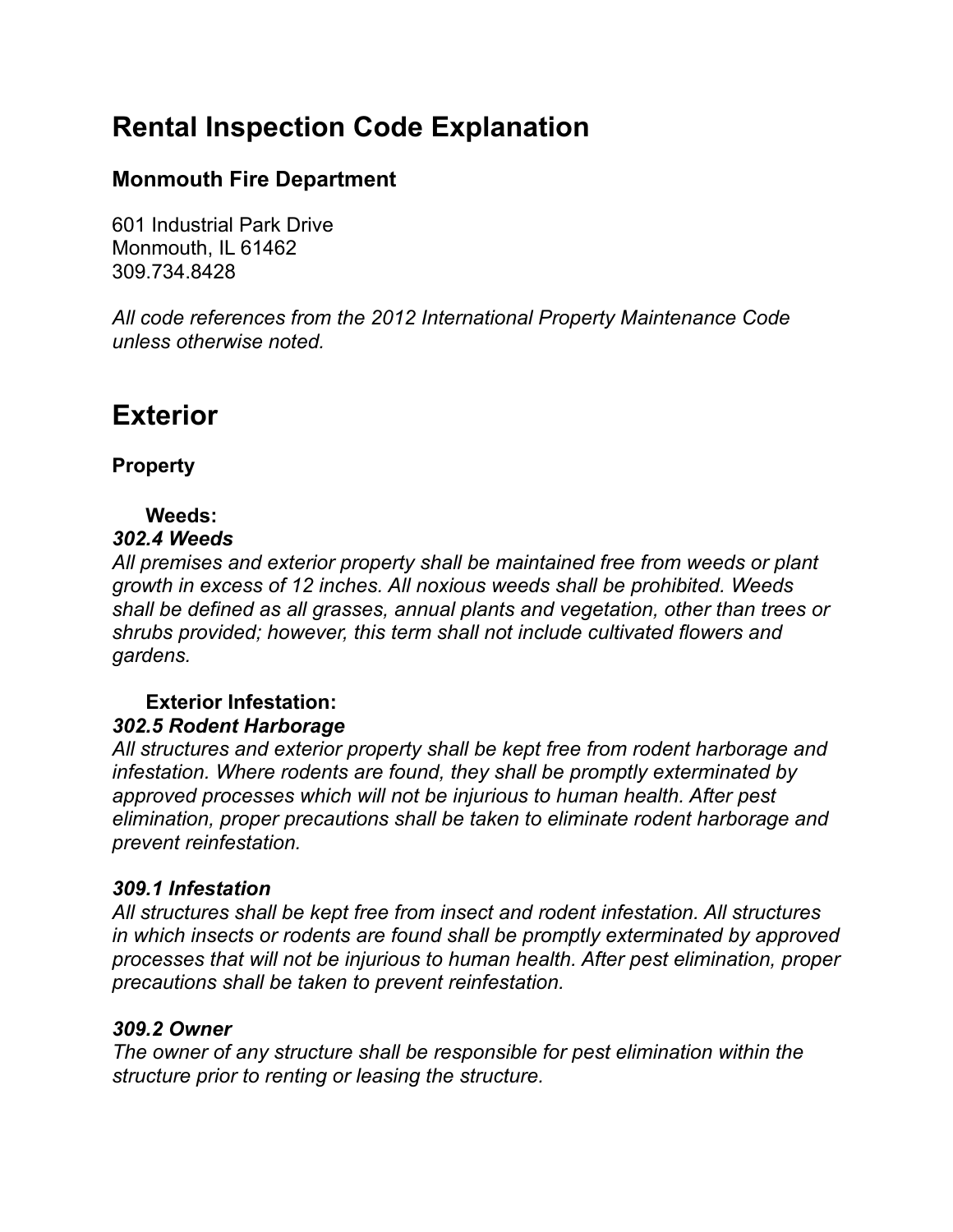# **Rental Inspection Code Explanation**

# **Monmouth Fire Department**

601 Industrial Park Drive Monmouth, IL 61462 309.734.8428

*All code references from the 2012 International Property Maintenance Code unless otherwise noted.*

# **Exterior**

## **Property**

# **Weeds:**

## *302.4 Weeds*

*All premises and exterior property shall be maintained free from weeds or plant growth in excess of 12 inches. All noxious weeds shall be prohibited. Weeds shall be defined as all grasses, annual plants and vegetation, other than trees or shrubs provided; however, this term shall not include cultivated flowers and gardens.*

## **Exterior Infestation:** *302.5 Rodent Harborage*

*All structures and exterior property shall be kept free from rodent harborage and infestation. Where rodents are found, they shall be promptly exterminated by approved processes which will not be injurious to human health. After pest elimination, proper precautions shall be taken to eliminate rodent harborage and prevent reinfestation.*

## *309.1 Infestation*

*All structures shall be kept free from insect and rodent infestation. All structures in which insects or rodents are found shall be promptly exterminated by approved processes that will not be injurious to human health. After pest elimination, proper precautions shall be taken to prevent reinfestation.*

## *309.2 Owner*

*The owner of any structure shall be responsible for pest elimination within the structure prior to renting or leasing the structure.*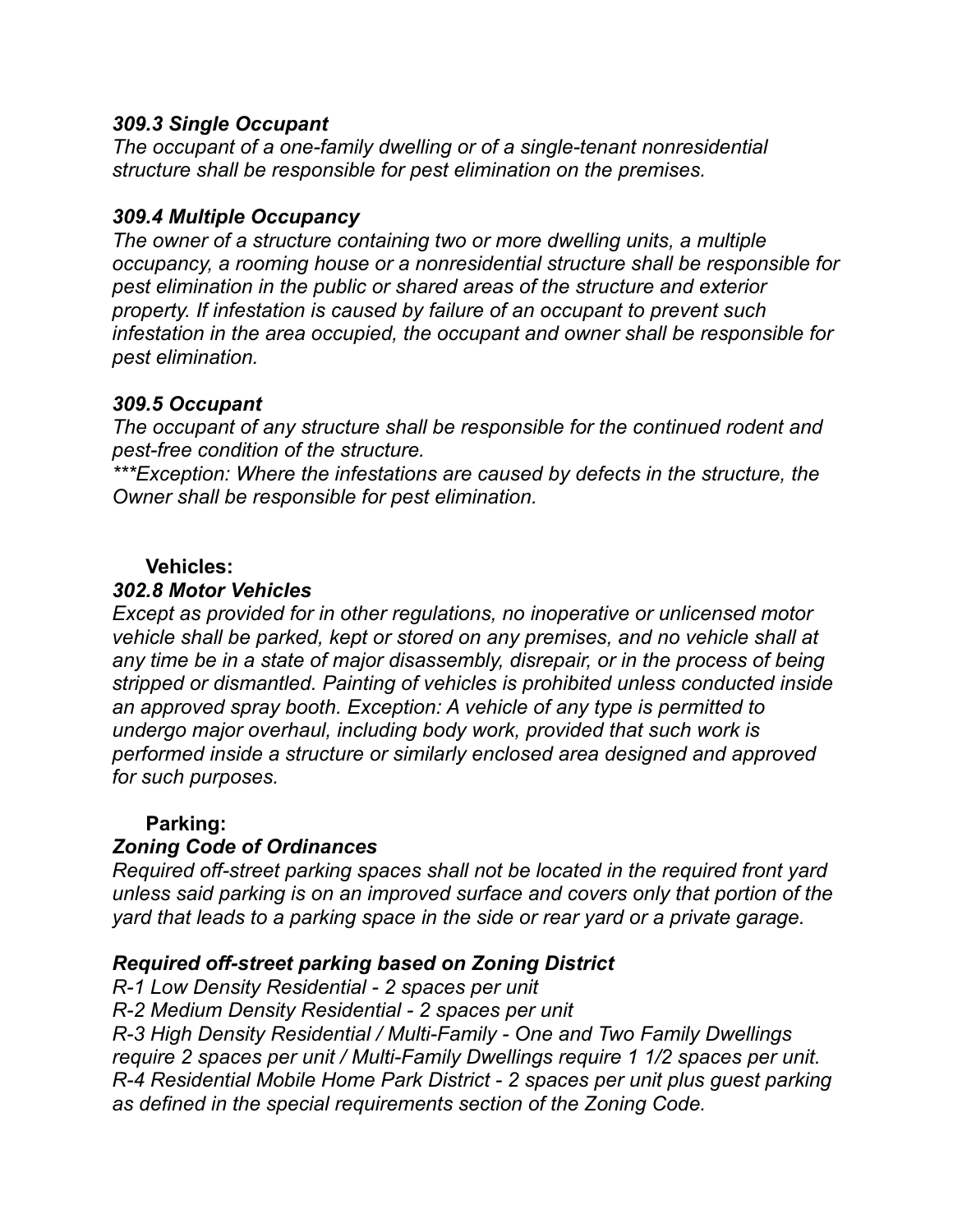#### *309.3 Single Occupant*

*The occupant of a one-family dwelling or of a single-tenant nonresidential structure shall be responsible for pest elimination on the premises.*

#### *309.4 Multiple Occupancy*

*The owner of a structure containing two or more dwelling units, a multiple occupancy, a rooming house or a nonresidential structure shall be responsible for pest elimination in the public or shared areas of the structure and exterior property. If infestation is caused by failure of an occupant to prevent such infestation in the area occupied, the occupant and owner shall be responsible for pest elimination.*

#### *309.5 Occupant*

*The occupant of any structure shall be responsible for the continued rodent and pest-free condition of the structure.*

*\*\*\*Exception: Where the infestations are caused by defects in the structure, the Owner shall be responsible for pest elimination.*

#### **Vehicles:**

#### *302.8 Motor Vehicles*

*Except as provided for in other regulations, no inoperative or unlicensed motor vehicle shall be parked, kept or stored on any premises, and no vehicle shall at any time be in a state of major disassembly, disrepair, or in the process of being stripped or dismantled. Painting of vehicles is prohibited unless conducted inside an approved spray booth. Exception: A vehicle of any type is permitted to undergo major overhaul, including body work, provided that such work is performed inside a structure or similarly enclosed area designed and approved for such purposes.*

#### **Parking:**

#### *Zoning Code of Ordinances*

*Required off-street parking spaces shall not be located in the required front yard unless said parking is on an improved surface and covers only that portion of the yard that leads to a parking space in the side or rear yard or a private garage.*

## *Required off-street parking based on Zoning District*

*R-1 Low Density Residential - 2 spaces per unit R-2 Medium Density Residential - 2 spaces per unit R-3 High Density Residential / Multi-Family - One and Two Family Dwellings require 2 spaces per unit / Multi-Family Dwellings require 1 1/2 spaces per unit. R-4 Residential Mobile Home Park District - 2 spaces per unit plus guest parking as defined in the special requirements section of the Zoning Code.*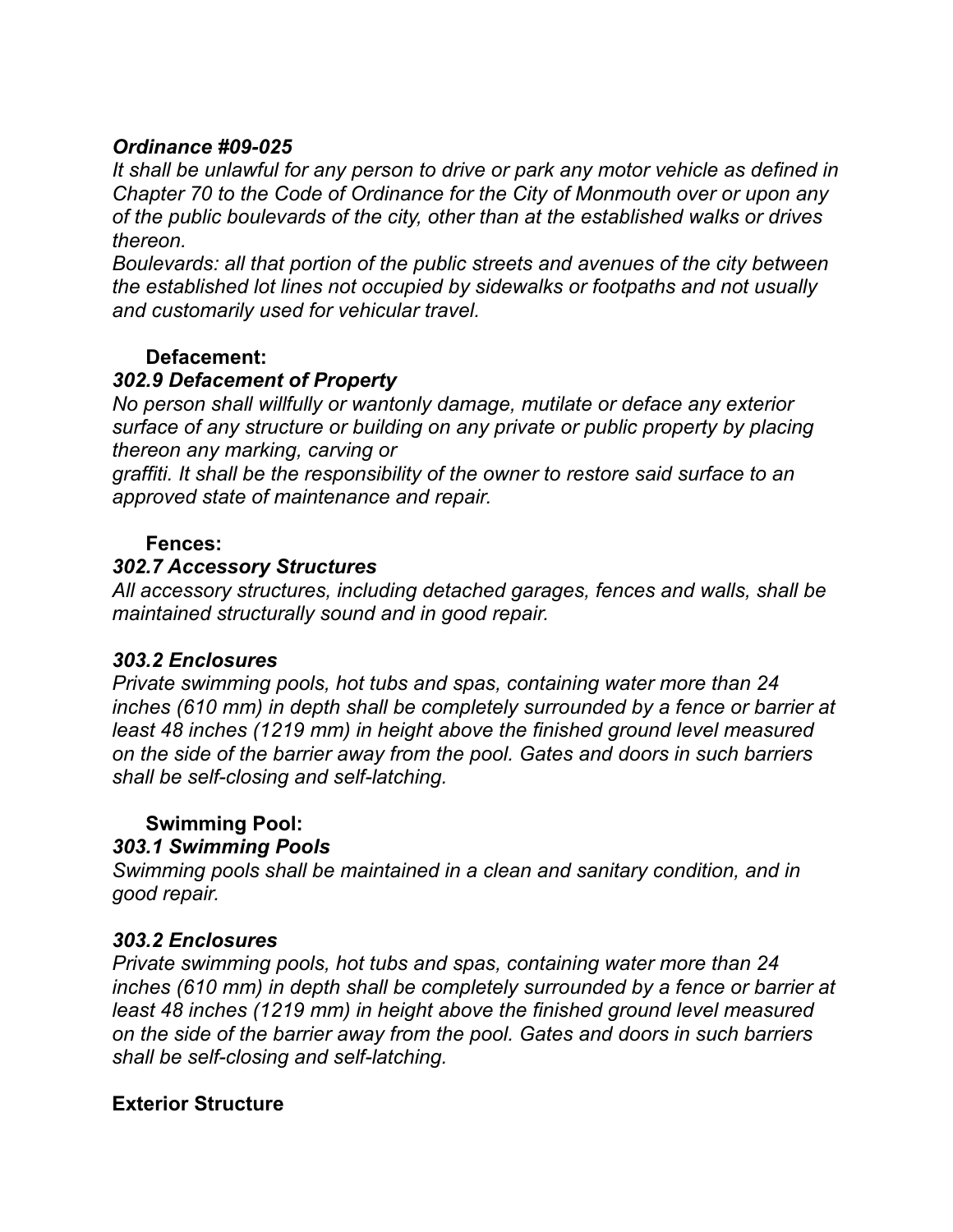## *Ordinance #09-025*

*It shall be unlawful for any person to drive or park any motor vehicle as defined in Chapter 70 to the Code of Ordinance for the City of Monmouth over or upon any of the public boulevards of the city, other than at the established walks or drives thereon.*

*Boulevards: all that portion of the public streets and avenues of the city between the established lot lines not occupied by sidewalks or footpaths and not usually and customarily used for vehicular travel.*

## **Defacement:**

#### *302.9 Defacement of Property*

*No person shall willfully or wantonly damage, mutilate or deface any exterior surface of any structure or building on any private or public property by placing thereon any marking, carving or*

*graffiti. It shall be the responsibility of the owner to restore said surface to an approved state of maintenance and repair.*

## **Fences:**

#### *302.7 Accessory Structures*

*All accessory structures, including detached garages, fences and walls, shall be maintained structurally sound and in good repair.*

#### *303.2 Enclosures*

*Private swimming pools, hot tubs and spas, containing water more than 24 inches (610 mm) in depth shall be completely surrounded by a fence or barrier at least 48 inches (1219 mm) in height above the finished ground level measured on the side of the barrier away from the pool. Gates and doors in such barriers shall be self-closing and self-latching.*

## **Swimming Pool:**

#### *303.1 Swimming Pools*

*Swimming pools shall be maintained in a clean and sanitary condition, and in good repair.*

#### *303.2 Enclosures*

*Private swimming pools, hot tubs and spas, containing water more than 24 inches (610 mm) in depth shall be completely surrounded by a fence or barrier at least 48 inches (1219 mm) in height above the finished ground level measured on the side of the barrier away from the pool. Gates and doors in such barriers shall be self-closing and self-latching.*

#### **Exterior Structure**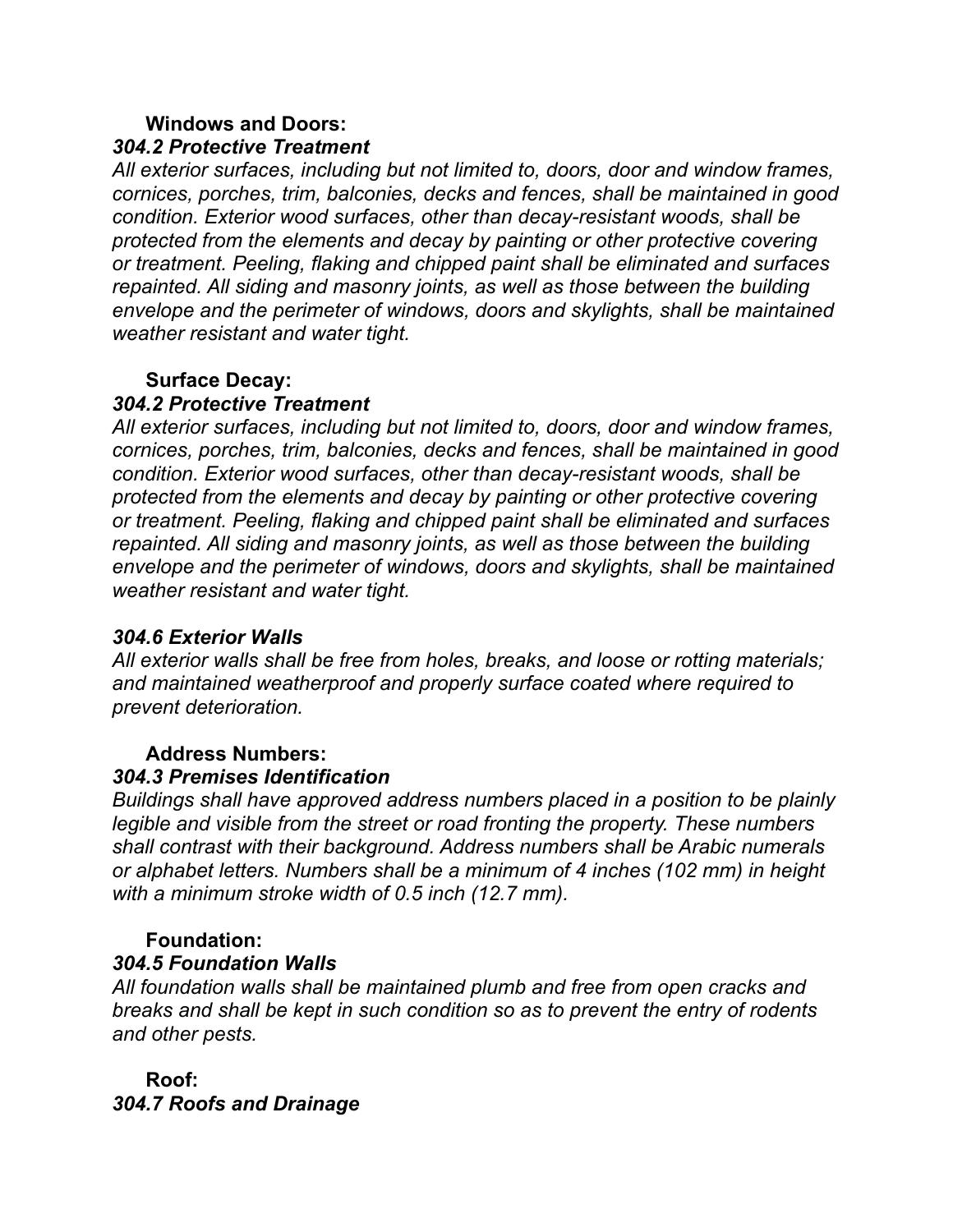# **Windows and Doors:**

#### *304.2 Protective Treatment*

*All exterior surfaces, including but not limited to, doors, door and window frames, cornices, porches, trim, balconies, decks and fences, shall be maintained in good condition. Exterior wood surfaces, other than decay-resistant woods, shall be protected from the elements and decay by painting or other protective covering or treatment. Peeling, flaking and chipped paint shall be eliminated and surfaces repainted. All siding and masonry joints, as well as those between the building envelope and the perimeter of windows, doors and skylights, shall be maintained weather resistant and water tight.*

## **Surface Decay:**

## *304.2 Protective Treatment*

*All exterior surfaces, including but not limited to, doors, door and window frames, cornices, porches, trim, balconies, decks and fences, shall be maintained in good condition. Exterior wood surfaces, other than decay-resistant woods, shall be protected from the elements and decay by painting or other protective covering or treatment. Peeling, flaking and chipped paint shall be eliminated and surfaces repainted. All siding and masonry joints, as well as those between the building envelope and the perimeter of windows, doors and skylights, shall be maintained weather resistant and water tight.*

## *304.6 Exterior Walls*

*All exterior walls shall be free from holes, breaks, and loose or rotting materials; and maintained weatherproof and properly surface coated where required to prevent deterioration.*

# **Address Numbers:**

## *304.3 Premises Identification*

*Buildings shall have approved address numbers placed in a position to be plainly legible and visible from the street or road fronting the property. These numbers shall contrast with their background. Address numbers shall be Arabic numerals or alphabet letters. Numbers shall be a minimum of 4 inches (102 mm) in height with a minimum stroke width of 0.5 inch (12.7 mm).*

# **Foundation:**

## *304.5 Foundation Walls*

*All foundation walls shall be maintained plumb and free from open cracks and breaks and shall be kept in such condition so as to prevent the entry of rodents and other pests.*

 **Roof:** *304.7 Roofs and Drainage*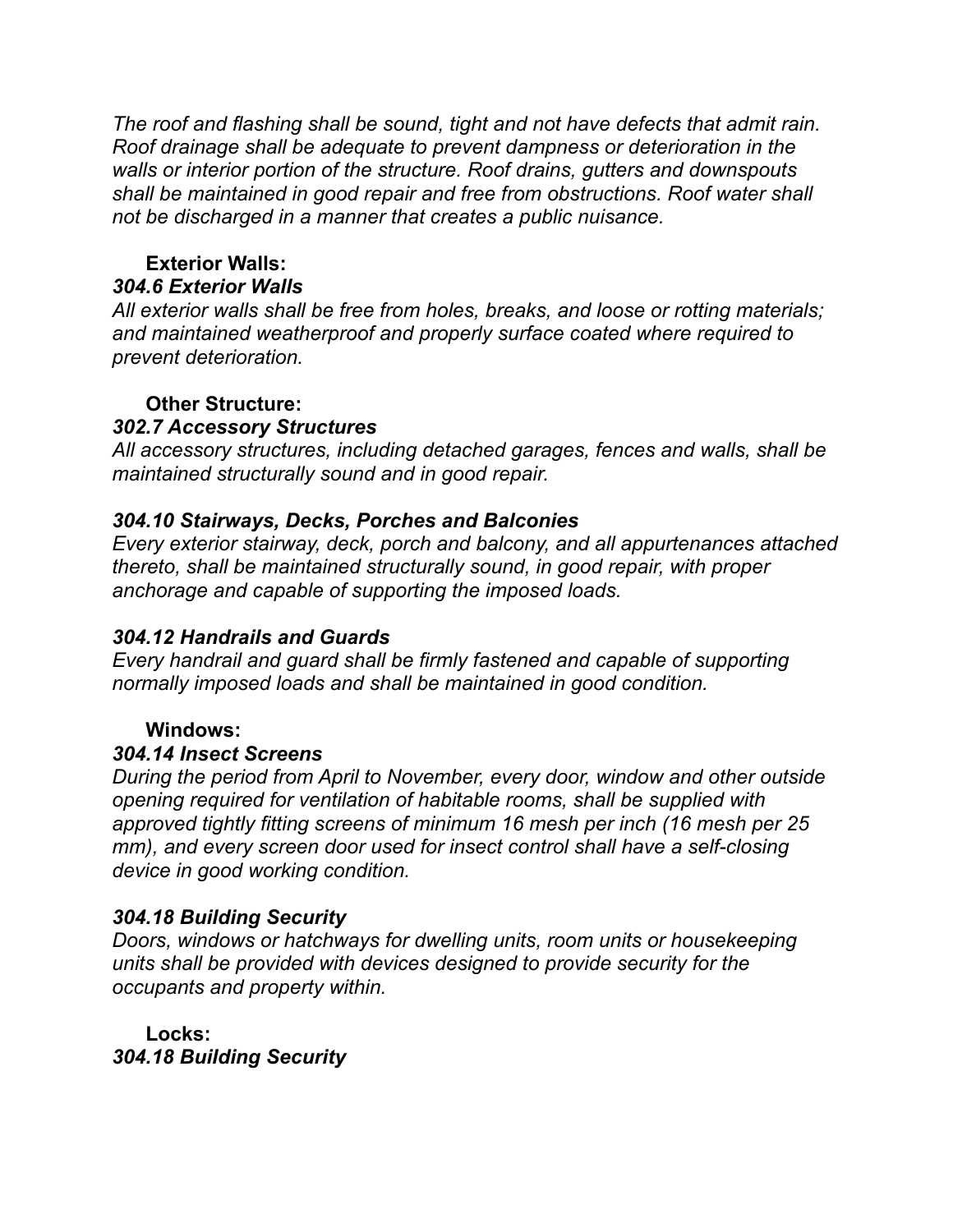*The roof and flashing shall be sound, tight and not have defects that admit rain. Roof drainage shall be adequate to prevent dampness or deterioration in the walls or interior portion of the structure. Roof drains, gutters and downspouts shall be maintained in good repair and free from obstructions. Roof water shall not be discharged in a manner that creates a public nuisance.*

#### **Exterior Walls:** *304.6 Exterior Walls*

*All exterior walls shall be free from holes, breaks, and loose or rotting materials; and maintained weatherproof and properly surface coated where required to prevent deterioration.*

# **Other Structure:**

## *302.7 Accessory Structures*

*All accessory structures, including detached garages, fences and walls, shall be maintained structurally sound and in good repair.*

# *304.10 Stairways, Decks, Porches and Balconies*

*Every exterior stairway, deck, porch and balcony, and all appurtenances attached thereto, shall be maintained structurally sound, in good repair, with proper anchorage and capable of supporting the imposed loads.* 

# *304.12 Handrails and Guards*

*Every handrail and guard shall be firmly fastened and capable of supporting normally imposed loads and shall be maintained in good condition.*

# **Windows:**

## *304.14 Insect Screens*

*During the period from April to November, every door, window and other outside opening required for ventilation of habitable rooms, shall be supplied with approved tightly fitting screens of minimum 16 mesh per inch (16 mesh per 25 mm), and every screen door used for insect control shall have a self-closing device in good working condition.*

# *304.18 Building Security*

*Doors, windows or hatchways for dwelling units, room units or housekeeping units shall be provided with devices designed to provide security for the occupants and property within.*

 **Locks:** *304.18 Building Security*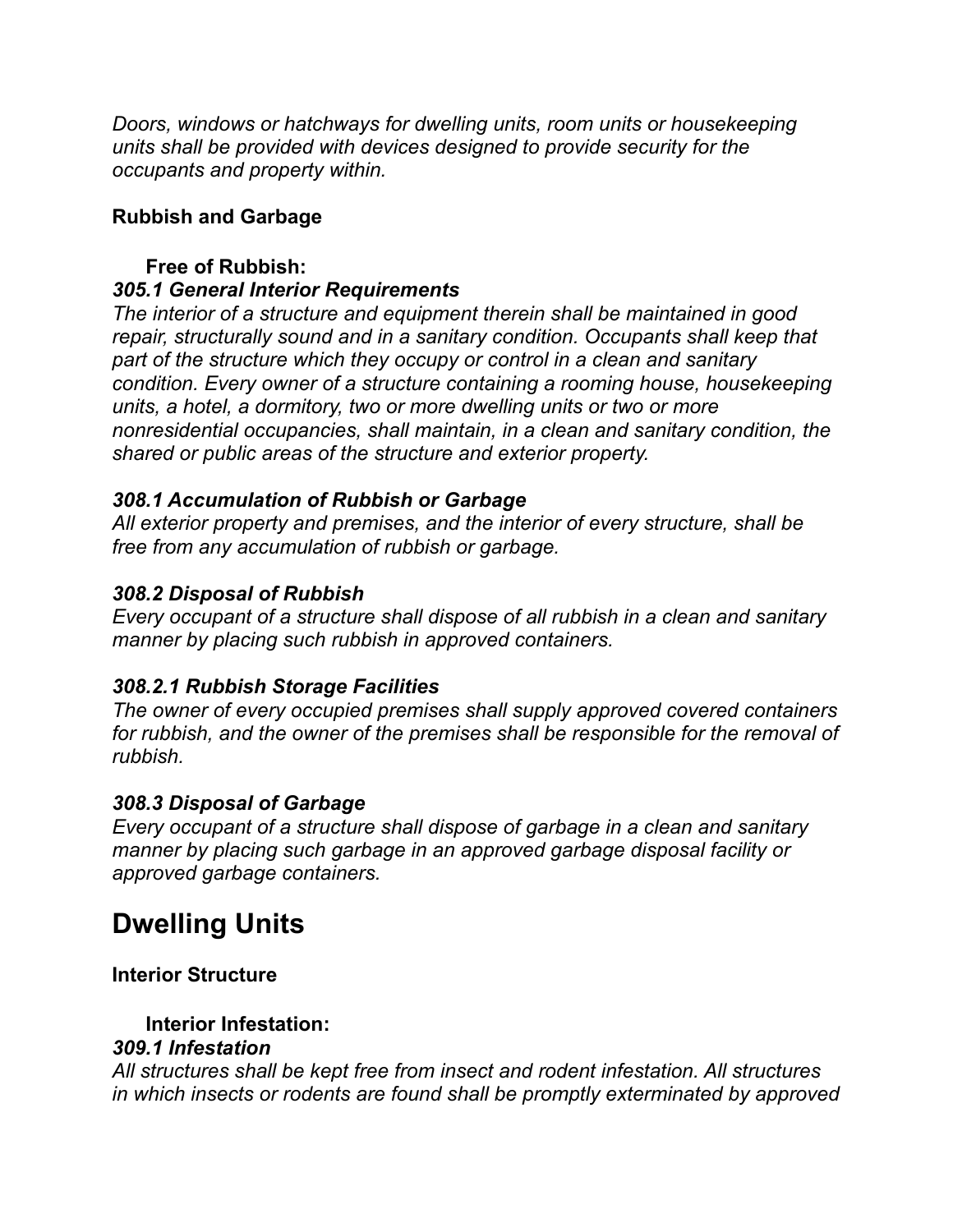*Doors, windows or hatchways for dwelling units, room units or housekeeping units shall be provided with devices designed to provide security for the occupants and property within.*

## **Rubbish and Garbage**

#### **Free of Rubbish:** *305.1 General Interior Requirements*

*The interior of a structure and equipment therein shall be maintained in good repair, structurally sound and in a sanitary condition. Occupants shall keep that part of the structure which they occupy or control in a clean and sanitary condition. Every owner of a structure containing a rooming house, housekeeping units, a hotel, a dormitory, two or more dwelling units or two or more nonresidential occupancies, shall maintain, in a clean and sanitary condition, the shared or public areas of the structure and exterior property.*

## *308.1 Accumulation of Rubbish or Garbage*

*All exterior property and premises, and the interior of every structure, shall be free from any accumulation of rubbish or garbage.*

## *308.2 Disposal of Rubbish*

*Every occupant of a structure shall dispose of all rubbish in a clean and sanitary manner by placing such rubbish in approved containers.*

## *308.2.1 Rubbish Storage Facilities*

*The owner of every occupied premises shall supply approved covered containers*  for rubbish, and the owner of the premises shall be responsible for the removal of *rubbish.*

## *308.3 Disposal of Garbage*

*Every occupant of a structure shall dispose of garbage in a clean and sanitary manner by placing such garbage in an approved garbage disposal facility or approved garbage containers.*

# **Dwelling Units**

## **Interior Structure**

## **Interior Infestation:**

## *309.1 Infestation*

*All structures shall be kept free from insect and rodent infestation. All structures in which insects or rodents are found shall be promptly exterminated by approved*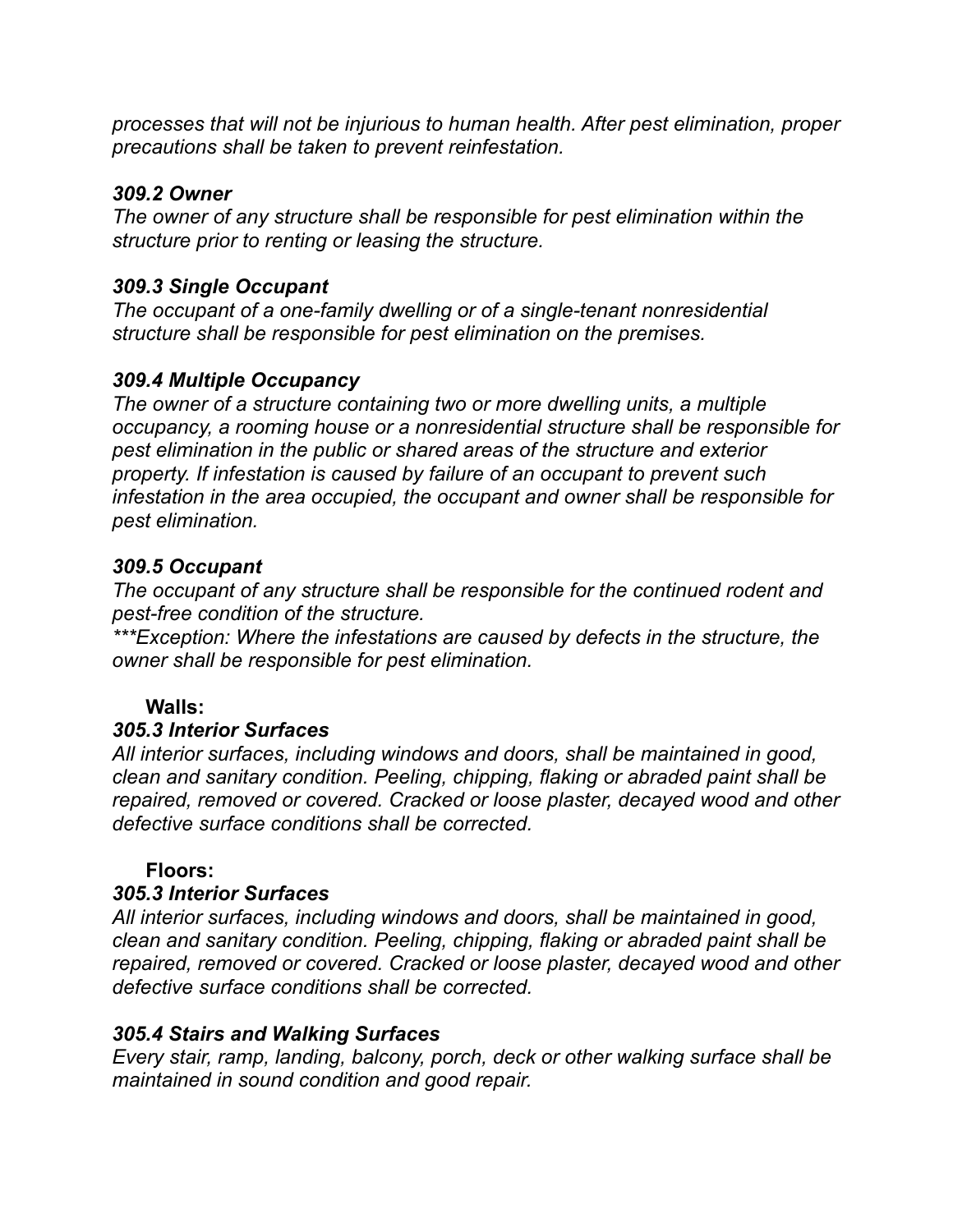*processes that will not be injurious to human health. After pest elimination, proper precautions shall be taken to prevent reinfestation.*

#### *309.2 Owner*

*The owner of any structure shall be responsible for pest elimination within the structure prior to renting or leasing the structure.*

## *309.3 Single Occupant*

*The occupant of a one-family dwelling or of a single-tenant nonresidential structure shall be responsible for pest elimination on the premises.*

## *309.4 Multiple Occupancy*

*The owner of a structure containing two or more dwelling units, a multiple occupancy, a rooming house or a nonresidential structure shall be responsible for pest elimination in the public or shared areas of the structure and exterior property. If infestation is caused by failure of an occupant to prevent such infestation in the area occupied, the occupant and owner shall be responsible for pest elimination.*

## *309.5 Occupant*

*The occupant of any structure shall be responsible for the continued rodent and pest-free condition of the structure.*

*\*\*\*Exception: Where the infestations are caused by defects in the structure, the owner shall be responsible for pest elimination.*

# **Walls:**

## *305.3 Interior Surfaces*

*All interior surfaces, including windows and doors, shall be maintained in good, clean and sanitary condition. Peeling, chipping, flaking or abraded paint shall be repaired, removed or covered. Cracked or loose plaster, decayed wood and other defective surface conditions shall be corrected.*

## **Floors:**

## *305.3 Interior Surfaces*

*All interior surfaces, including windows and doors, shall be maintained in good, clean and sanitary condition. Peeling, chipping, flaking or abraded paint shall be repaired, removed or covered. Cracked or loose plaster, decayed wood and other defective surface conditions shall be corrected.*

## *305.4 Stairs and Walking Surfaces*

*Every stair, ramp, landing, balcony, porch, deck or other walking surface shall be maintained in sound condition and good repair.*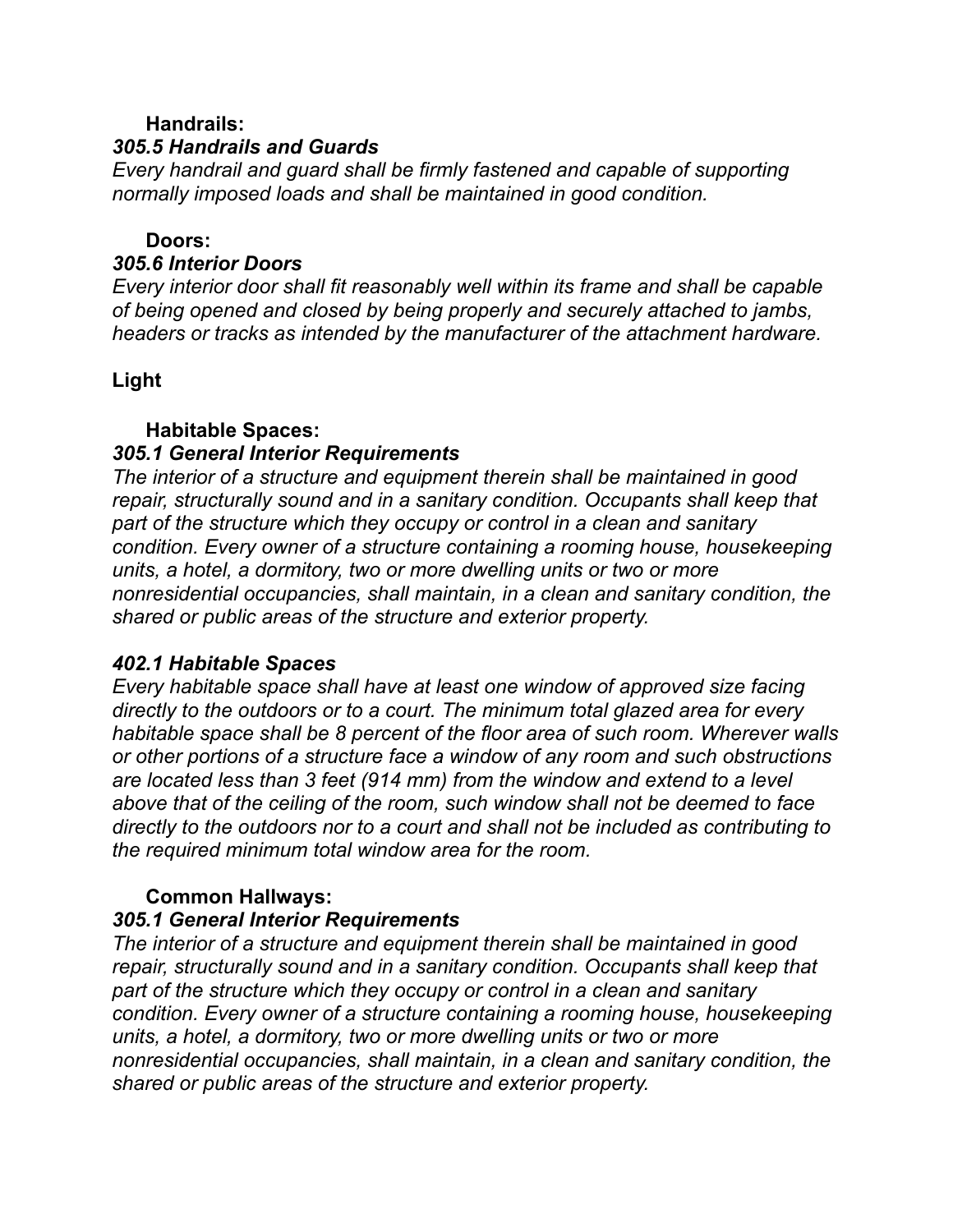#### **Handrails:**

#### *305.5 Handrails and Guards*

*Every handrail and guard shall be firmly fastened and capable of supporting normally imposed loads and shall be maintained in good condition.*

#### **Doors:**

#### *305.6 Interior Doors*

*Every interior door shall fit reasonably well within its frame and shall be capable of being opened and closed by being properly and securely attached to jambs, headers or tracks as intended by the manufacturer of the attachment hardware.*

## **Light**

# **Habitable Spaces:**

## *305.1 General Interior Requirements*

*The interior of a structure and equipment therein shall be maintained in good repair, structurally sound and in a sanitary condition. Occupants shall keep that part of the structure which they occupy or control in a clean and sanitary condition. Every owner of a structure containing a rooming house, housekeeping units, a hotel, a dormitory, two or more dwelling units or two or more nonresidential occupancies, shall maintain, in a clean and sanitary condition, the shared or public areas of the structure and exterior property.*

## *402.1 Habitable Spaces*

*Every habitable space shall have at least one window of approved size facing directly to the outdoors or to a court. The minimum total glazed area for every habitable space shall be 8 percent of the floor area of such room. Wherever walls or other portions of a structure face a window of any room and such obstructions are located less than 3 feet (914 mm) from the window and extend to a level above that of the ceiling of the room, such window shall not be deemed to face directly to the outdoors nor to a court and shall not be included as contributing to the required minimum total window area for the room.*

## **Common Hallways:**

## *305.1 General Interior Requirements*

*The interior of a structure and equipment therein shall be maintained in good repair, structurally sound and in a sanitary condition. Occupants shall keep that part of the structure which they occupy or control in a clean and sanitary condition. Every owner of a structure containing a rooming house, housekeeping units, a hotel, a dormitory, two or more dwelling units or two or more nonresidential occupancies, shall maintain, in a clean and sanitary condition, the shared or public areas of the structure and exterior property.*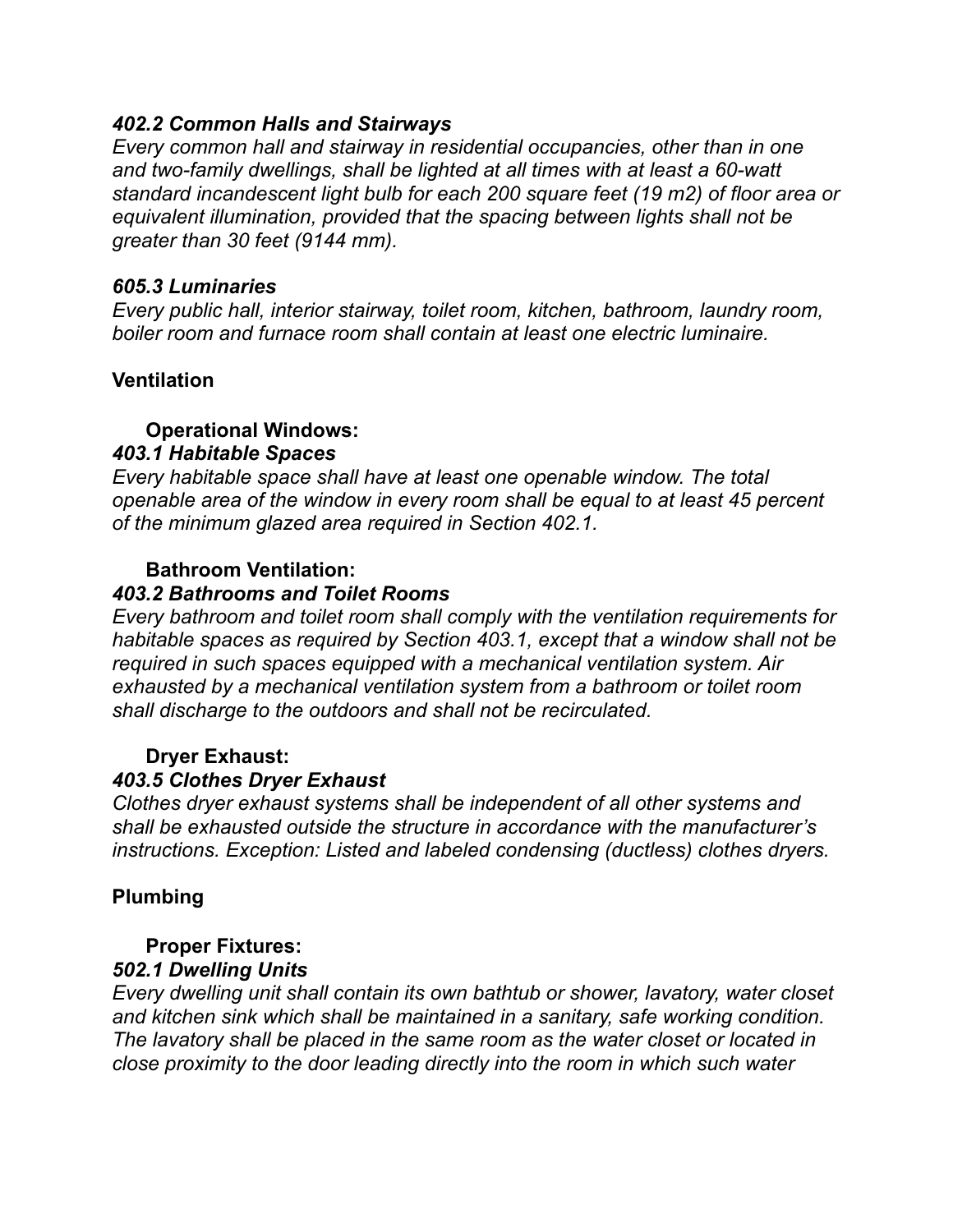#### *402.2 Common Halls and Stairways*

*Every common hall and stairway in residential occupancies, other than in one and two-family dwellings, shall be lighted at all times with at least a 60-watt standard incandescent light bulb for each 200 square feet (19 m2) of floor area or equivalent illumination, provided that the spacing between lights shall not be greater than 30 feet (9144 mm).*

#### *605.3 Luminaries*

*Every public hall, interior stairway, toilet room, kitchen, bathroom, laundry room, boiler room and furnace room shall contain at least one electric luminaire.*

## **Ventilation**

#### **Operational Windows:**

## *403.1 Habitable Spaces*

*Every habitable space shall have at least one openable window. The total openable area of the window in every room shall be equal to at least 45 percent of the minimum glazed area required in Section 402.1.*

#### **Bathroom Ventilation:**

## *403.2 Bathrooms and Toilet Rooms*

*Every bathroom and toilet room shall comply with the ventilation requirements for habitable spaces as required by Section 403.1, except that a window shall not be required in such spaces equipped with a mechanical ventilation system. Air exhausted by a mechanical ventilation system from a bathroom or toilet room shall discharge to the outdoors and shall not be recirculated.*

# **Dryer Exhaust:**

## *403.5 Clothes Dryer Exhaust*

*Clothes dryer exhaust systems shall be independent of all other systems and shall be exhausted outside the structure in accordance with the manufacturer's instructions. Exception: Listed and labeled condensing (ductless) clothes dryers.*

# **Plumbing**

# **Proper Fixtures:**

## *502.1 Dwelling Units*

*Every dwelling unit shall contain its own bathtub or shower, lavatory, water closet and kitchen sink which shall be maintained in a sanitary, safe working condition. The lavatory shall be placed in the same room as the water closet or located in close proximity to the door leading directly into the room in which such water*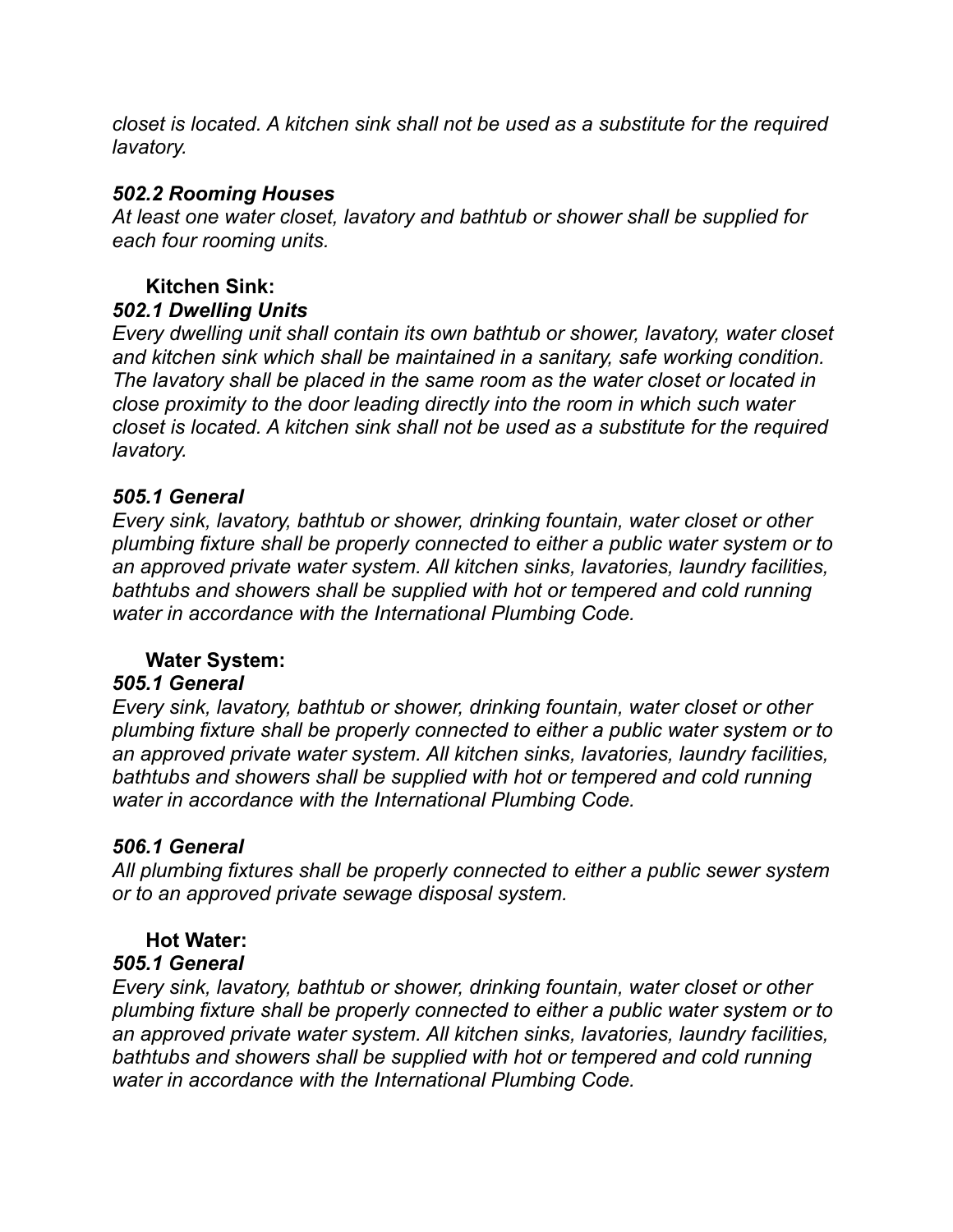*closet is located. A kitchen sink shall not be used as a substitute for the required lavatory.*

## *502.2 Rooming Houses*

*At least one water closet, lavatory and bathtub or shower shall be supplied for each four rooming units.*

# **Kitchen Sink:**

#### *502.1 Dwelling Units*

*Every dwelling unit shall contain its own bathtub or shower, lavatory, water closet and kitchen sink which shall be maintained in a sanitary, safe working condition. The lavatory shall be placed in the same room as the water closet or located in close proximity to the door leading directly into the room in which such water closet is located. A kitchen sink shall not be used as a substitute for the required lavatory.*

## *505.1 General*

*Every sink, lavatory, bathtub or shower, drinking fountain, water closet or other plumbing fixture shall be properly connected to either a public water system or to an approved private water system. All kitchen sinks, lavatories, laundry facilities, bathtubs and showers shall be supplied with hot or tempered and cold running water in accordance with the International Plumbing Code.*

## **Water System:**

#### *505.1 General*

*Every sink, lavatory, bathtub or shower, drinking fountain, water closet or other plumbing fixture shall be properly connected to either a public water system or to an approved private water system. All kitchen sinks, lavatories, laundry facilities, bathtubs and showers shall be supplied with hot or tempered and cold running water in accordance with the International Plumbing Code.*

## *506.1 General*

*All plumbing fixtures shall be properly connected to either a public sewer system or to an approved private sewage disposal system.*

## **Hot Water:**

## *505.1 General*

*Every sink, lavatory, bathtub or shower, drinking fountain, water closet or other plumbing fixture shall be properly connected to either a public water system or to an approved private water system. All kitchen sinks, lavatories, laundry facilities, bathtubs and showers shall be supplied with hot or tempered and cold running water in accordance with the International Plumbing Code.*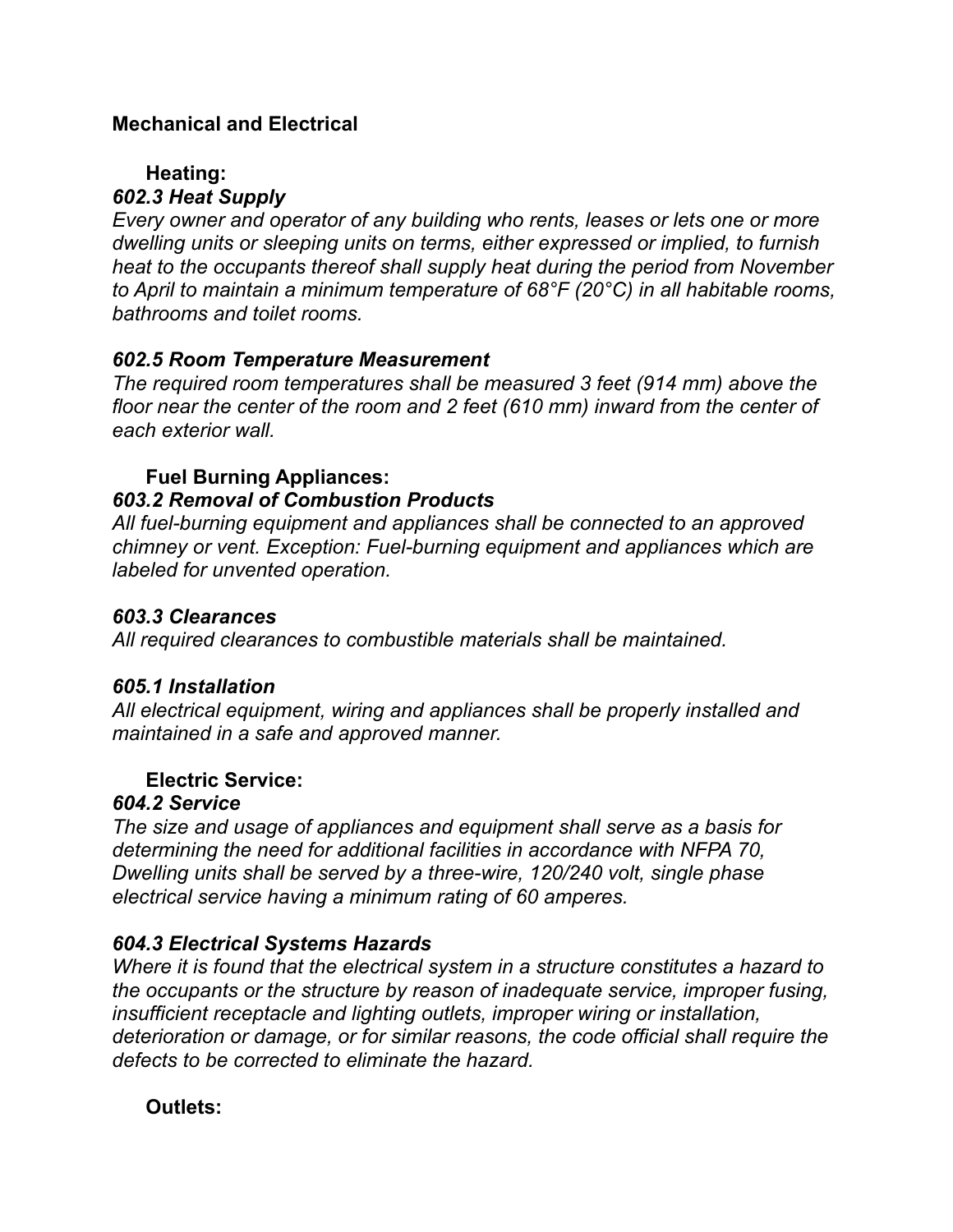## **Mechanical and Electrical**

## **Heating:**

## *602.3 Heat Supply*

*Every owner and operator of any building who rents, leases or lets one or more dwelling units or sleeping units on terms, either expressed or implied, to furnish heat to the occupants thereof shall supply heat during the period from November to April to maintain a minimum temperature of 68°F (20°C) in all habitable rooms, bathrooms and toilet rooms.*

## *602.5 Room Temperature Measurement*

*The required room temperatures shall be measured 3 feet (914 mm) above the floor near the center of the room and 2 feet (610 mm) inward from the center of each exterior wall.*

# **Fuel Burning Appliances:**

#### *603.2 Removal of Combustion Products*

*All fuel-burning equipment and appliances shall be connected to an approved chimney or vent. Exception: Fuel-burning equipment and appliances which are labeled for unvented operation.*

#### *603.3 Clearances*

*All required clearances to combustible materials shall be maintained.*

## *605.1 Installation*

*All electrical equipment, wiring and appliances shall be properly installed and maintained in a safe and approved manner.*

## **Electric Service:**

## *604.2 Service*

*The size and usage of appliances and equipment shall serve as a basis for determining the need for additional facilities in accordance with NFPA 70, Dwelling units shall be served by a three-wire, 120/240 volt, single phase electrical service having a minimum rating of 60 amperes.*

## *604.3 Electrical Systems Hazards*

*Where it is found that the electrical system in a structure constitutes a hazard to the occupants or the structure by reason of inadequate service, improper fusing, insufficient receptacle and lighting outlets, improper wiring or installation, deterioration or damage, or for similar reasons, the code official shall require the defects to be corrected to eliminate the hazard.*

# **Outlets:**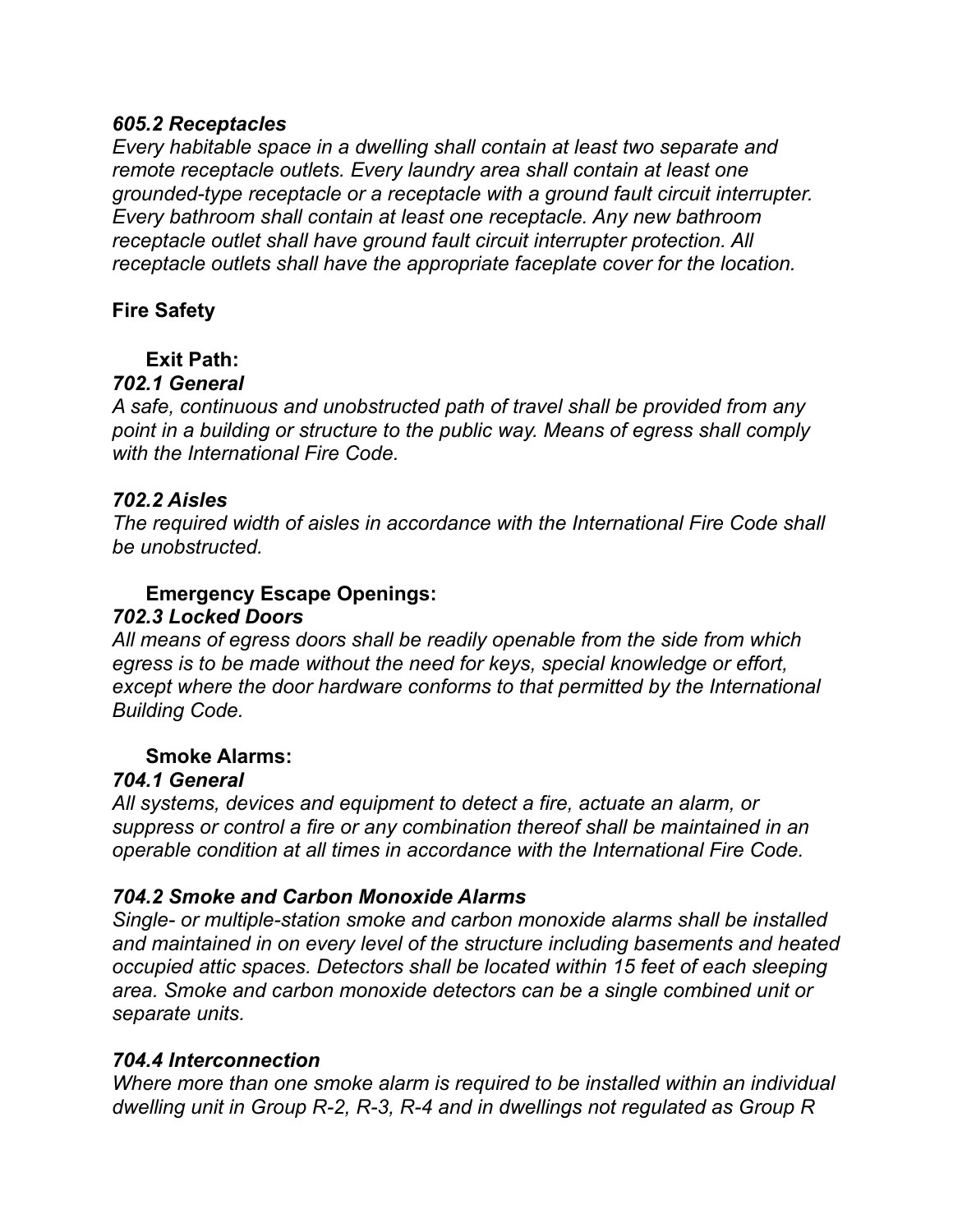#### *605.2 Receptacles*

*Every habitable space in a dwelling shall contain at least two separate and remote receptacle outlets. Every laundry area shall contain at least one grounded-type receptacle or a receptacle with a ground fault circuit interrupter. Every bathroom shall contain at least one receptacle. Any new bathroom receptacle outlet shall have ground fault circuit interrupter protection. All receptacle outlets shall have the appropriate faceplate cover for the location.*

#### **Fire Safety**

#### **Exit Path:**

#### *702.1 General*

*A safe, continuous and unobstructed path of travel shall be provided from any point in a building or structure to the public way. Means of egress shall comply with the International Fire Code.*

#### *702.2 Aisles*

*The required width of aisles in accordance with the International Fire Code shall be unobstructed.*

## **Emergency Escape Openings:**

#### *702.3 Locked Doors*

*All means of egress doors shall be readily openable from the side from which egress is to be made without the need for keys, special knowledge or effort, except where the door hardware conforms to that permitted by the International Building Code.*

#### **Smoke Alarms:**

#### *704.1 General*

*All systems, devices and equipment to detect a fire, actuate an alarm, or suppress or control a fire or any combination thereof shall be maintained in an operable condition at all times in accordance with the International Fire Code.*

## *704.2 Smoke and Carbon Monoxide Alarms*

*Single- or multiple-station smoke and carbon monoxide alarms shall be installed and maintained in on every level of the structure including basements and heated occupied attic spaces. Detectors shall be located within 15 feet of each sleeping area. Smoke and carbon monoxide detectors can be a single combined unit or separate units.* 

## *704.4 Interconnection*

*Where more than one smoke alarm is required to be installed within an individual dwelling unit in Group R-2, R-3, R-4 and in dwellings not regulated as Group R*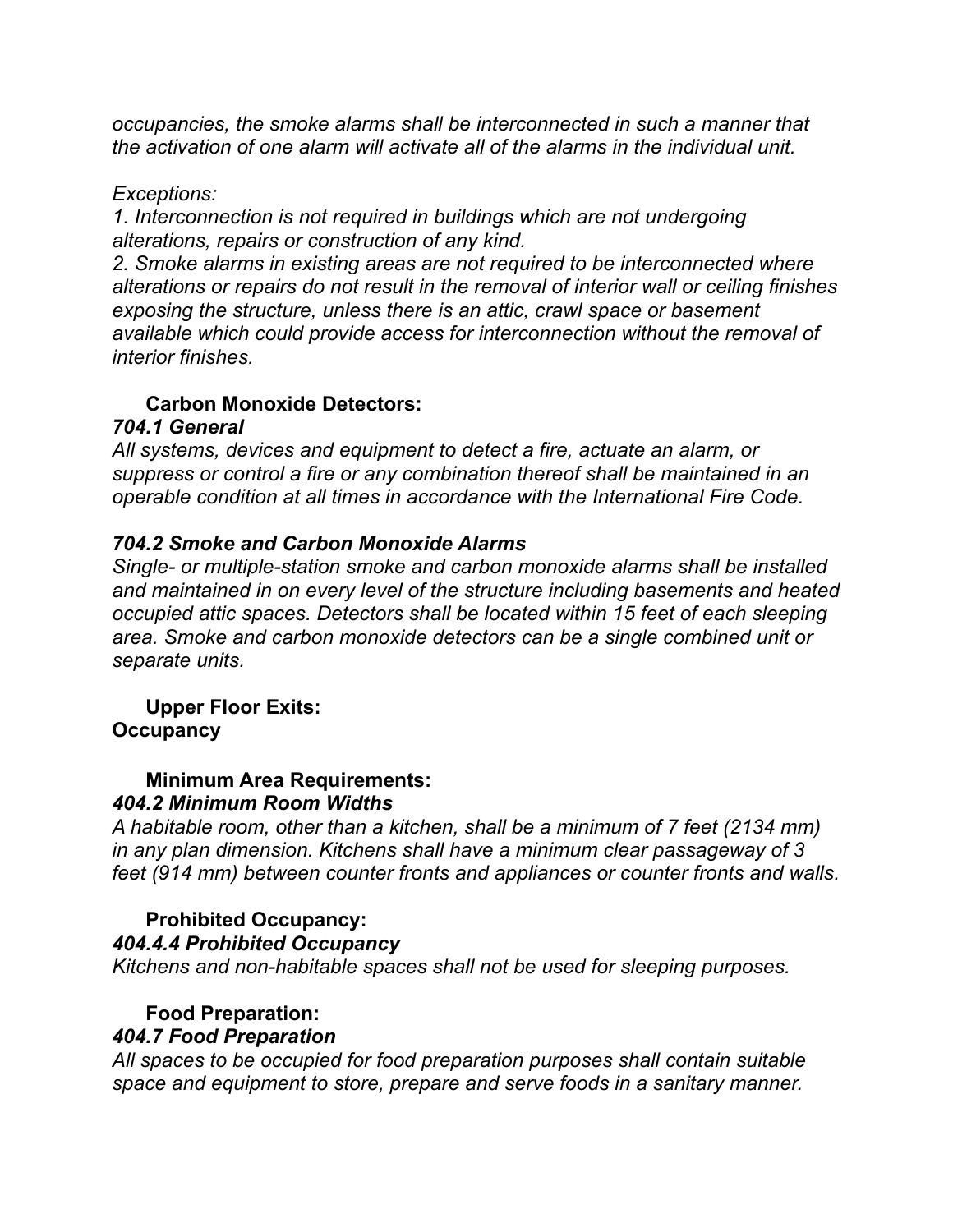*occupancies, the smoke alarms shall be interconnected in such a manner that the activation of one alarm will activate all of the alarms in the individual unit.* 

#### *Exceptions:*

*1. Interconnection is not required in buildings which are not undergoing alterations, repairs or construction of any kind.*

*2. Smoke alarms in existing areas are not required to be interconnected where alterations or repairs do not result in the removal of interior wall or ceiling finishes exposing the structure, unless there is an attic, crawl space or basement available which could provide access for interconnection without the removal of interior finishes.*

## **Carbon Monoxide Detectors:**

#### *704.1 General*

*All systems, devices and equipment to detect a fire, actuate an alarm, or suppress or control a fire or any combination thereof shall be maintained in an operable condition at all times in accordance with the International Fire Code.*

## *704.2 Smoke and Carbon Monoxide Alarms*

*Single- or multiple-station smoke and carbon monoxide alarms shall be installed and maintained in on every level of the structure including basements and heated occupied attic spaces. Detectors shall be located within 15 feet of each sleeping area. Smoke and carbon monoxide detectors can be a single combined unit or separate units.*

 **Upper Floor Exits: Occupancy**

## **Minimum Area Requirements:** *404.2 Minimum Room Widths*

*A habitable room, other than a kitchen, shall be a minimum of 7 feet (2134 mm) in any plan dimension. Kitchens shall have a minimum clear passageway of 3 feet (914 mm) between counter fronts and appliances or counter fronts and walls.*

# **Prohibited Occupancy:**

#### *404.4.4 Prohibited Occupancy*

*Kitchens and non-habitable spaces shall not be used for sleeping purposes.*

# **Food Preparation:**

# *404.7 Food Preparation*

*All spaces to be occupied for food preparation purposes shall contain suitable space and equipment to store, prepare and serve foods in a sanitary manner.*